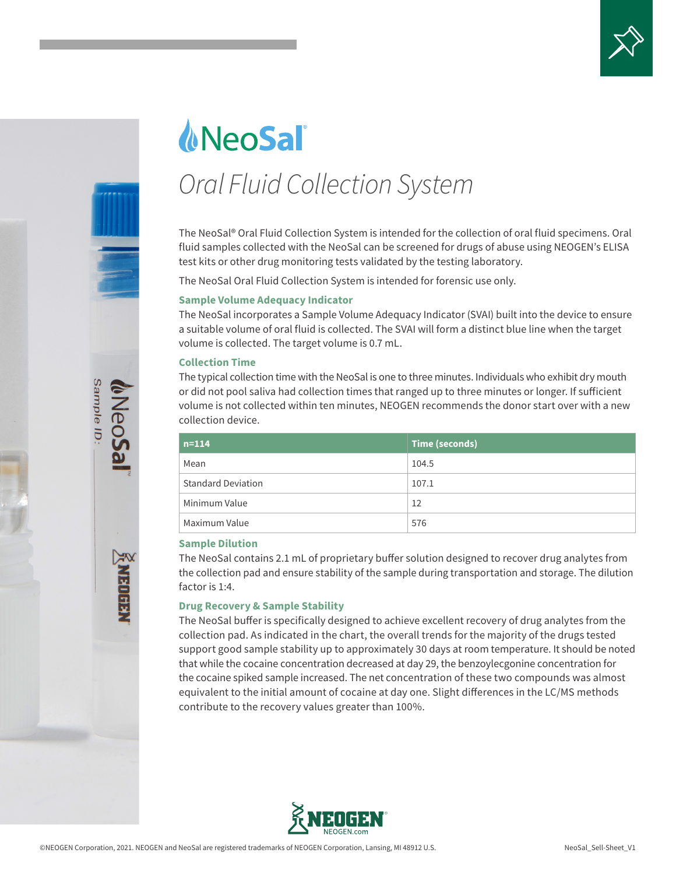



# *<u>MeoSali</u> Oral Fluid Collection System*

The NeoSal® Oral Fluid Collection System is intended for the collection of oral fluid specimens. Oral fluid samples collected with the NeoSal can be screened for drugs of abuse using NEOGEN's ELISA test kits or other drug monitoring tests validated by the testing laboratory.

The NeoSal Oral Fluid Collection System is intended for forensic use only.

## **Sample Volume Adequacy Indicator**

The NeoSal incorporates a Sample Volume Adequacy Indicator (SVAI) built into the device to ensure a suitable volume of oral fluid is collected. The SVAI will form a distinct blue line when the target volume is collected. The target volume is 0.7 mL.

#### **Collection Time**

The typical collection time with the NeoSal is one to three minutes. Individuals who exhibit dry mouth or did not pool saliva had collection times that ranged up to three minutes or longer. If sufficient volume is not collected within ten minutes, NEOGEN recommends the donor start over with a new collection device.

| $n = 114$                 | Time (seconds) |
|---------------------------|----------------|
| Mean                      | 104.5          |
| <b>Standard Deviation</b> | 107.1          |
| Minimum Value             | 12             |
| Maximum Value             | 576            |

#### **Sample Dilution**

The NeoSal contains 2.1 mL of proprietary buffer solution designed to recover drug analytes from the collection pad and ensure stability of the sample during transportation and storage. The dilution factor is 1:4.

## **Drug Recovery & Sample Stability**

The NeoSal buffer is specifically designed to achieve excellent recovery of drug analytes from the collection pad. As indicated in the chart, the overall trends for the majority of the drugs tested support good sample stability up to approximately 30 days at room temperature. It should be noted that while the cocaine concentration decreased at day 29, the benzoylecgonine concentration for the cocaine spiked sample increased. The net concentration of these two compounds was almost equivalent to the initial amount of cocaine at day one. Slight differences in the LC/MS methods contribute to the recovery values greater than 100%.